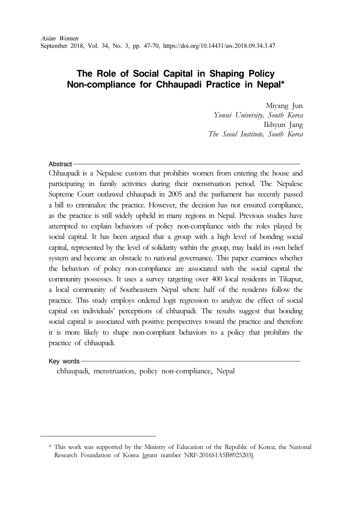# **The Role of Social Capital in Shaping Policy Non-compliance for Chhaupadi Practice in Nepal\***

Miyang Jun Yonsei University, South Korea Ikhyun Jang The Seoul Institute, South Korea

#### Abstract

Chhaupadi is a Nepalese custom that prohibits women from entering the house and participating in family activities during their menstruation period. The Nepalese Supreme Court outlawed chhaupadi in 2005 and the parliament has recently passed a bill to criminalize the practice. However, the decision has not ensured compliance, as the practice is still widely upheld in many regions in Nepal. Previous studies have attempted to explain behaviors of policy non-compliance with the roles played by social capital. It has been argued that a group with a high level of bonding social capital, represented by the level of solidarity within the group, may build its own belief system and become an obstacle to national governance. This paper examines whether the behaviors of policy non-compliance are associated with the social capital the community possesses. It uses a survey targeting over 400 local residents in Tikapur, a local community of Southeastern Nepal where half of the residents follow the practice. This study employs ordered logit regression to analyze the effect of social capital on individuals' perceptions of chhaupadi. The results suggest that bonding social capital is associated with positive perspectives toward the practice and therefore it is more likely to shape non-compliant behaviors to a policy that prohibits the practice of chhaupadi.

#### Key words-

chhaupadi, menstruation, policy non-compliance, Nepal

<sup>\*</sup> This work was supported by the Ministry of Education of the Republic of Korea; the National Research Foundation of Korea [grant number NRF-2016S1A5B8925203].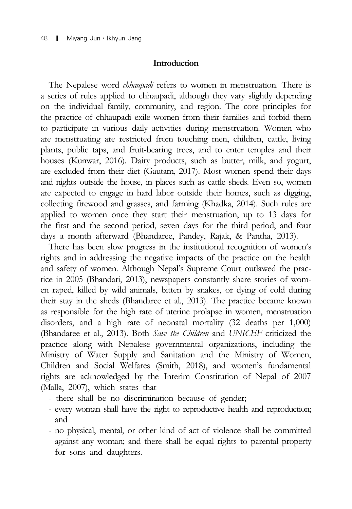#### **Introduction**

The Nepalese word *chhaupadi* refers to women in menstruation. There is a series of rules applied to chhaupadi, although they vary slightly depending on the individual family, community, and region. The core principles for the practice of chhaupadi exile women from their families and forbid them to participate in various daily activities during menstruation. Women who are menstruating are restricted from touching men, children, cattle, living plants, public taps, and fruit-bearing trees, and to enter temples and their houses (Kunwar, 2016). Dairy products, such as butter, milk, and yogurt, are excluded from their diet (Gautam, 2017). Most women spend their days and nights outside the house, in places such as cattle sheds. Even so, women are expected to engage in hard labor outside their homes, such as digging, collecting firewood and grasses, and farming (Khadka, 2014). Such rules are applied to women once they start their menstruation, up to 13 days for the first and the second period, seven days for the third period, and four days a month afterward (Bhandaree, Pandey, Rajak, & Pantha, 2013).

There has been slow progress in the institutional recognition of women's rights and in addressing the negative impacts of the practice on the health and safety of women. Although Nepal's Supreme Court outlawed the practice in 2005 (Bhandari, 2013), newspapers constantly share stories of women raped, killed by wild animals, bitten by snakes, or dying of cold during their stay in the sheds (Bhandaree et al., 2013). The practice became known as responsible for the high rate of uterine prolapse in women, menstruation disorders, and a high rate of neonatal mortality (32 deaths per 1,000) (Bhandaree et al., 2013). Both Save the Children and UNICEF criticized the practice along with Nepalese governmental organizations, including the Ministry of Water Supply and Sanitation and the Ministry of Women, Children and Social Welfares (Smith, 2018), and women's fundamental rights are acknowledged by the Interim Constitution of Nepal of 2007 (Malla, 2007), which states that

- there shall be no discrimination because of gender;
- every woman shall have the right to reproductive health and reproduction; and
- no physical, mental, or other kind of act of violence shall be committed against any woman; and there shall be equal rights to parental property for sons and daughters.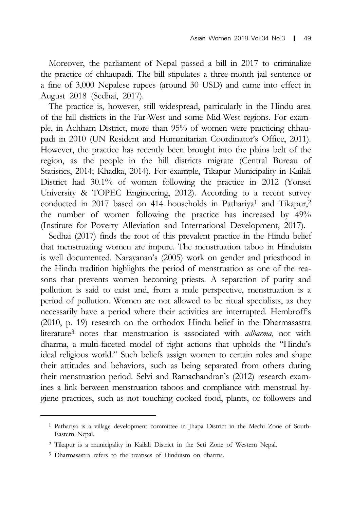Moreover, the parliament of Nepal passed a bill in 2017 to criminalize the practice of chhaupadi. The bill stipulates a three-month jail sentence or a fine of 3,000 Nepalese rupees (around 30 USD) and came into effect in August 2018 (Sedhai, 2017).

The practice is, however, still widespread, particularly in the Hindu area of the hill districts in the Far-West and some Mid-West regions. For example, in Achham District, more than 95% of women were practicing chhaupadi in 2010 (UN Resident and Humanitarian Coordinator's Office, 2011). However, the practice has recently been brought into the plains belt of the region, as the people in the hill districts migrate (Central Bureau of Statistics, 2014; Khadka, 2014). For example, Tikapur Municipality in Kailali District had 30.1% of women following the practice in 2012 (Yonsei University & TOPEC Engineering, 2012). According to a recent survey conducted in 2017 based on 414 households in Pathariya<sup>1</sup> and Tikapur,<sup>2</sup> the number of women following the practice has increased by 49% (Institute for Poverty Alleviation and International Development, 2017).

Sedhai (2017) finds the root of this prevalent practice in the Hindu belief that menstruating women are impure. The menstruation taboo in Hinduism is well documented. Narayanan's (2005) work on gender and priesthood in the Hindu tradition highlights the period of menstruation as one of the reasons that prevents women becoming priests. A separation of purity and pollution is said to exist and, from a male perspective, menstruation is a period of pollution. Women are not allowed to be ritual specialists, as they necessarily have a period where their activities are interrupted. Hembroff's (2010, p. 19) research on the orthodox Hindu belief in the Dharmasastra literature<sup>3</sup> notes that menstruation is associated with *adharma*, not with dharma, a multi-faceted model of right actions that upholds the "Hindu's ideal religious world." Such beliefs assign women to certain roles and shape their attitudes and behaviors, such as being separated from others during their menstruation period. Selvi and Ramachandran's (2012) research examines a link between menstruation taboos and compliance with menstrual hygiene practices, such as not touching cooked food, plants, or followers and

<sup>1</sup> Pathariya is a village development committee in Jhapa District in the Mechi Zone of South-Eastern Nepal.

<sup>2</sup> Tikapur is a municipality in Kailali District in the Seti Zone of Western Nepal.

<sup>3</sup> Dharmasastra refers to the treatises of Hinduism on dharma.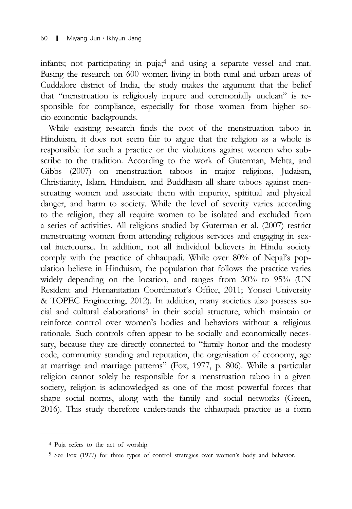infants; not participating in puja;4 and using a separate vessel and mat. Basing the research on 600 women living in both rural and urban areas of Cuddalore district of India, the study makes the argument that the belief that "menstruation is religiously impure and ceremonially unclean" is responsible for compliance, especially for those women from higher socio-economic backgrounds.

While existing research finds the root of the menstruation taboo in Hinduism, it does not seem fair to argue that the religion as a whole is responsible for such a practice or the violations against women who subscribe to the tradition. According to the work of Guterman, Mehta, and Gibbs (2007) on menstruation taboos in major religions, Judaism, Christianity, Islam, Hinduism, and Buddhism all share taboos against menstruating women and associate them with impurity, spiritual and physical danger, and harm to society. While the level of severity varies according to the religion, they all require women to be isolated and excluded from a series of activities. All religions studied by Guterman et al. (2007) restrict menstruating women from attending religious services and engaging in sexual intercourse. In addition, not all individual believers in Hindu society comply with the practice of chhaupadi. While over 80% of Nepal's population believe in Hinduism, the population that follows the practice varies widely depending on the location, and ranges from 30% to 95% (UN Resident and Humanitarian Coordinator's Office, 2011; Yonsei University & TOPEC Engineering, 2012). In addition, many societies also possess social and cultural elaborations<sup>5</sup> in their social structure, which maintain or reinforce control over women's bodies and behaviors without a religious rationale. Such controls often appear to be socially and economically necessary, because they are directly connected to "family honor and the modesty code, community standing and reputation, the organisation of economy, age at marriage and marriage patterns" (Fox, 1977, p. 806). While a particular religion cannot solely be responsible for a menstruation taboo in a given society, religion is acknowledged as one of the most powerful forces that shape social norms, along with the family and social networks (Green, 2016). This study therefore understands the chhaupadi practice as a form

<sup>4</sup> Puja refers to the act of worship.

<sup>5</sup> See Fox (1977) for three types of control strategies over women's body and behavior.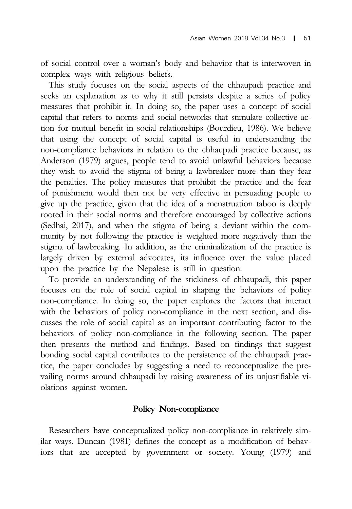of social control over a woman's body and behavior that is interwoven in complex ways with religious beliefs.

This study focuses on the social aspects of the chhaupadi practice and seeks an explanation as to why it still persists despite a series of policy measures that prohibit it. In doing so, the paper uses a concept of social capital that refers to norms and social networks that stimulate collective action for mutual benefit in social relationships (Bourdieu, 1986). We believe that using the concept of social capital is useful in understanding the non-compliance behaviors in relation to the chhaupadi practice because, as Anderson (1979) argues, people tend to avoid unlawful behaviors because they wish to avoid the stigma of being a lawbreaker more than they fear the penalties. The policy measures that prohibit the practice and the fear of punishment would then not be very effective in persuading people to give up the practice, given that the idea of a menstruation taboo is deeply rooted in their social norms and therefore encouraged by collective actions (Sedhai, 2017), and when the stigma of being a deviant within the community by not following the practice is weighted more negatively than the stigma of lawbreaking. In addition, as the criminalization of the practice is largely driven by external advocates, its influence over the value placed upon the practice by the Nepalese is still in question.

To provide an understanding of the stickiness of chhaupadi, this paper focuses on the role of social capital in shaping the behaviors of policy non-compliance. In doing so, the paper explores the factors that interact with the behaviors of policy non-compliance in the next section, and discusses the role of social capital as an important contributing factor to the behaviors of policy non-compliance in the following section. The paper then presents the method and findings. Based on findings that suggest bonding social capital contributes to the persistence of the chhaupadi practice, the paper concludes by suggesting a need to reconceptualize the prevailing norms around chhaupadi by raising awareness of its unjustifiable violations against women.

# Policy Non-compliance

Researchers have conceptualized policy non-compliance in relatively similar ways. Duncan (1981) defines the concept as a modification of behaviors that are accepted by government or society. Young (1979) and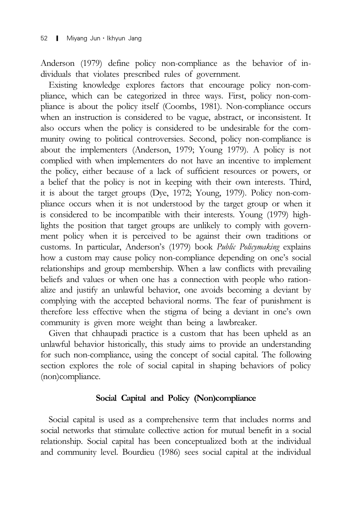Anderson (1979) define policy non-compliance as the behavior of individuals that violates prescribed rules of government.

Existing knowledge explores factors that encourage policy non-compliance, which can be categorized in three ways. First, policy non-compliance is about the policy itself (Coombs, 1981). Non-compliance occurs when an instruction is considered to be vague, abstract, or inconsistent. It also occurs when the policy is considered to be undesirable for the community owing to political controversies. Second, policy non-compliance is about the implementers (Anderson, 1979; Young 1979). A policy is not complied with when implementers do not have an incentive to implement the policy, either because of a lack of sufficient resources or powers, or a belief that the policy is not in keeping with their own interests. Third, it is about the target groups (Dye, 1972; Young, 1979). Policy non-compliance occurs when it is not understood by the target group or when it is considered to be incompatible with their interests. Young (1979) highlights the position that target groups are unlikely to comply with government policy when it is perceived to be against their own traditions or customs. In particular, Anderson's (1979) book Public Policymaking explains how a custom may cause policy non-compliance depending on one's social relationships and group membership. When a law conflicts with prevailing beliefs and values or when one has a connection with people who rationalize and justify an unlawful behavior, one avoids becoming a deviant by complying with the accepted behavioral norms. The fear of punishment is therefore less effective when the stigma of being a deviant in one's own community is given more weight than being a lawbreaker.

Given that chhaupadi practice is a custom that has been upheld as an unlawful behavior historically, this study aims to provide an understanding for such non-compliance, using the concept of social capital. The following section explores the role of social capital in shaping behaviors of policy (non)compliance.

# Social Capital and Policy (Non)compliance

Social capital is used as a comprehensive term that includes norms and social networks that stimulate collective action for mutual benefit in a social relationship. Social capital has been conceptualized both at the individual and community level. Bourdieu (1986) sees social capital at the individual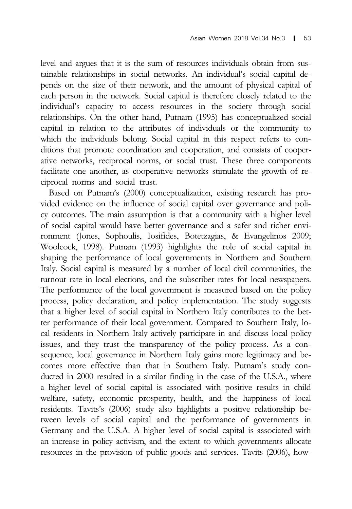level and argues that it is the sum of resources individuals obtain from sustainable relationships in social networks. An individual's social capital depends on the size of their network, and the amount of physical capital of each person in the network. Social capital is therefore closely related to the individual's capacity to access resources in the society through social relationships. On the other hand, Putnam (1995) has conceptualized social capital in relation to the attributes of individuals or the community to which the individuals belong. Social capital in this respect refers to conditions that promote coordination and cooperation, and consists of cooperative networks, reciprocal norms, or social trust. These three components facilitate one another, as cooperative networks stimulate the growth of reciprocal norms and social trust.

Based on Putnam's (2000) conceptualization, existing research has provided evidence on the influence of social capital over governance and policy outcomes. The main assumption is that a community with a higher level of social capital would have better governance and a safer and richer environment (Jones, Sophoulis, Iosifides, Botetzagias, & Evangelinos 2009; Woolcock, 1998). Putnam (1993) highlights the role of social capital in shaping the performance of local governments in Northern and Southern Italy. Social capital is measured by a number of local civil communities, the turnout rate in local elections, and the subscriber rates for local newspapers. The performance of the local government is measured based on the policy process, policy declaration, and policy implementation. The study suggests that a higher level of social capital in Northern Italy contributes to the better performance of their local government. Compared to Southern Italy, local residents in Northern Italy actively participate in and discuss local policy issues, and they trust the transparency of the policy process. As a consequence, local governance in Northern Italy gains more legitimacy and becomes more effective than that in Southern Italy. Putnam's study conducted in 2000 resulted in a similar finding in the case of the U.S.A., where a higher level of social capital is associated with positive results in child welfare, safety, economic prosperity, health, and the happiness of local residents. Tavits's (2006) study also highlights a positive relationship between levels of social capital and the performance of governments in Germany and the U.S.A. A higher level of social capital is associated with an increase in policy activism, and the extent to which governments allocate resources in the provision of public goods and services. Tavits (2006), how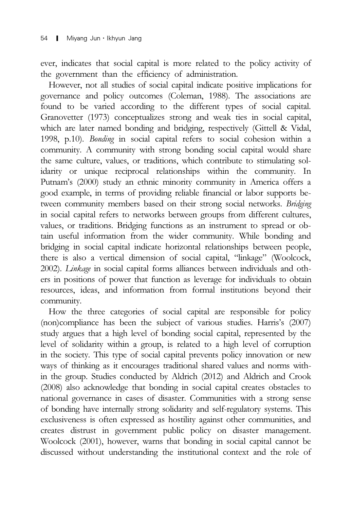ever, indicates that social capital is more related to the policy activity of the government than the efficiency of administration.

However, not all studies of social capital indicate positive implications for governance and policy outcomes (Coleman, 1988). The associations are found to be varied according to the different types of social capital. Granovetter (1973) conceptualizes strong and weak ties in social capital, which are later named bonding and bridging, respectively (Gittell & Vidal, 1998, p.10). Bonding in social capital refers to social cohesion within a community. A community with strong bonding social capital would share the same culture, values, or traditions, which contribute to stimulating solidarity or unique reciprocal relationships within the community. In Putnam's (2000) study an ethnic minority community in America offers a good example, in terms of providing reliable financial or labor supports between community members based on their strong social networks. Bridging in social capital refers to networks between groups from different cultures, values, or traditions. Bridging functions as an instrument to spread or obtain useful information from the wider community. While bonding and bridging in social capital indicate horizontal relationships between people, there is also a vertical dimension of social capital, "linkage" (Woolcock, 2002). Linkage in social capital forms alliances between individuals and others in positions of power that function as leverage for individuals to obtain resources, ideas, and information from formal institutions beyond their community.

How the three categories of social capital are responsible for policy (non)compliance has been the subject of various studies. Harris's (2007) study argues that a high level of bonding social capital, represented by the level of solidarity within a group, is related to a high level of corruption in the society. This type of social capital prevents policy innovation or new ways of thinking as it encourages traditional shared values and norms within the group. Studies conducted by Aldrich (2012) and Aldrich and Crook (2008) also acknowledge that bonding in social capital creates obstacles to national governance in cases of disaster. Communities with a strong sense of bonding have internally strong solidarity and self-regulatory systems. This exclusiveness is often expressed as hostility against other communities, and creates distrust in government public policy on disaster management. Woolcock (2001), however, warns that bonding in social capital cannot be discussed without understanding the institutional context and the role of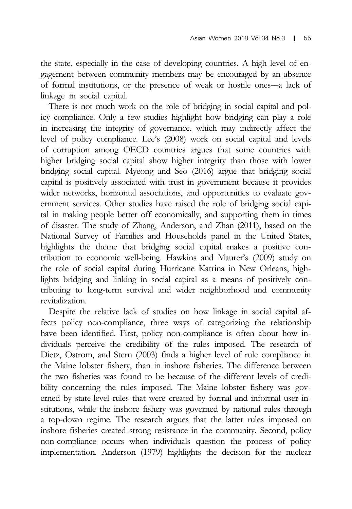the state, especially in the case of developing countries. A high level of engagement between community members may be encouraged by an absence Asian Women 2018 Vol.34 No.3 **|** 55<br>the state, especially in the case of developing countries. A high level of en-<br>gagement between community members may be encouraged by an absence<br>of formal institutions, or the presence linkage in social capital.

There is not much work on the role of bridging in social capital and policy compliance. Only a few studies highlight how bridging can play a role in increasing the integrity of governance, which may indirectly affect the level of policy compliance. Lee's (2008) work on social capital and levels of corruption among OECD countries argues that some countries with higher bridging social capital show higher integrity than those with lower bridging social capital. Myeong and Seo (2016) argue that bridging social capital is positively associated with trust in government because it provides wider networks, horizontal associations, and opportunities to evaluate government services. Other studies have raised the role of bridging social capital in making people better off economically, and supporting them in times of disaster. The study of Zhang, Anderson, and Zhan (2011), based on the National Survey of Families and Households panel in the United States, highlights the theme that bridging social capital makes a positive contribution to economic well-being. Hawkins and Maurer's (2009) study on the role of social capital during Hurricane Katrina in New Orleans, highlights bridging and linking in social capital as a means of positively contributing to long-term survival and wider neighborhood and community revitalization.

Despite the relative lack of studies on how linkage in social capital affects policy non-compliance, three ways of categorizing the relationship have been identified. First, policy non-compliance is often about how individuals perceive the credibility of the rules imposed. The research of Dietz, Ostrom, and Stern (2003) finds a higher level of rule compliance in the Maine lobster fishery, than in inshore fisheries. The difference between the two fisheries was found to be because of the different levels of credibility concerning the rules imposed. The Maine lobster fishery was governed by state-level rules that were created by formal and informal user institutions, while the inshore fishery was governed by national rules through a top-down regime. The research argues that the latter rules imposed on inshore fisheries created strong resistance in the community. Second, policy non-compliance occurs when individuals question the process of policy implementation. Anderson (1979) highlights the decision for the nuclear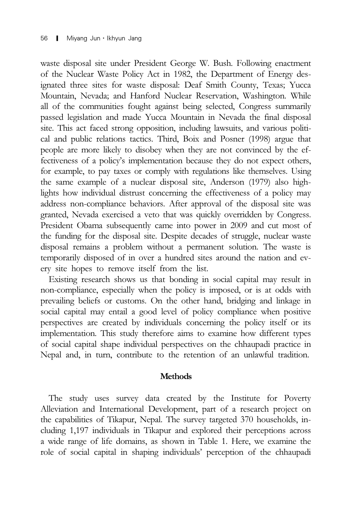waste disposal site under President George W. Bush. Following enactment of the Nuclear Waste Policy Act in 1982, the Department of Energy designated three sites for waste disposal: Deaf Smith County, Texas; Yucca Mountain, Nevada; and Hanford Nuclear Reservation, Washington. While all of the communities fought against being selected, Congress summarily passed legislation and made Yucca Mountain in Nevada the final disposal site. This act faced strong opposition, including lawsuits, and various political and public relations tactics. Third, Boix and Posner (1998) argue that people are more likely to disobey when they are not convinced by the effectiveness of a policy's implementation because they do not expect others, for example, to pay taxes or comply with regulations like themselves. Using the same example of a nuclear disposal site, Anderson (1979) also highlights how individual distrust concerning the effectiveness of a policy may address non-compliance behaviors. After approval of the disposal site was granted, Nevada exercised a veto that was quickly overridden by Congress. President Obama subsequently came into power in 2009 and cut most of the funding for the disposal site. Despite decades of struggle, nuclear waste disposal remains a problem without a permanent solution. The waste is temporarily disposed of in over a hundred sites around the nation and every site hopes to remove itself from the list.

Existing research shows us that bonding in social capital may result in non-compliance, especially when the policy is imposed, or is at odds with prevailing beliefs or customs. On the other hand, bridging and linkage in social capital may entail a good level of policy compliance when positive perspectives are created by individuals concerning the policy itself or its implementation. This study therefore aims to examine how different types of social capital shape individual perspectives on the chhaupadi practice in Nepal and, in turn, contribute to the retention of an unlawful tradition.

### **Methods**

The study uses survey data created by the Institute for Poverty Alleviation and International Development, part of a research project on the capabilities of Tikapur, Nepal. The survey targeted 370 households, including 1,197 individuals in Tikapur and explored their perceptions across a wide range of life domains, as shown in Table 1. Here, we examine the role of social capital in shaping individuals' perception of the chhaupadi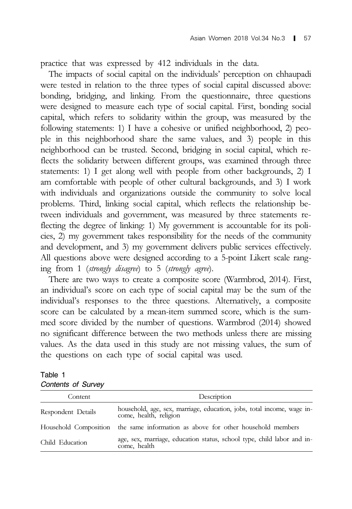practice that was expressed by 412 individuals in the data.

The impacts of social capital on the individuals' perception on chhaupadi were tested in relation to the three types of social capital discussed above: bonding, bridging, and linking. From the questionnaire, three questions were designed to measure each type of social capital. First, bonding social capital, which refers to solidarity within the group, was measured by the following statements: 1) I have a cohesive or unified neighborhood, 2) people in this neighborhood share the same values, and 3) people in this neighborhood can be trusted. Second, bridging in social capital, which reflects the solidarity between different groups, was examined through three statements: 1) I get along well with people from other backgrounds, 2) I am comfortable with people of other cultural backgrounds, and 3) I work with individuals and organizations outside the community to solve local problems. Third, linking social capital, which reflects the relationship between individuals and government, was measured by three statements reflecting the degree of linking: 1) My government is accountable for its policies, 2) my government takes responsibility for the needs of the community and development, and 3) my government delivers public services effectively. All questions above were designed according to a 5-point Likert scale ranging from 1 (strongly disagree) to 5 (strongly agree).

There are two ways to create a composite score (Warmbrod, 2014). First, an individual's score on each type of social capital may be the sum of the individual's responses to the three questions. Alternatively, a composite score can be calculated by a mean-item summed score, which is the summed score divided by the number of questions. Warmbrod (2014) showed no significant difference between the two methods unless there are missing values. As the data used in this study are not missing values, the sum of the questions on each type of social capital was used.

| Table 1            |  |
|--------------------|--|
| Contents of Survey |  |

| Content            | Description                                                                                      |  |  |  |
|--------------------|--------------------------------------------------------------------------------------------------|--|--|--|
| Respondent Details | household, age, sex, marriage, education, jobs, total income, wage in-<br>come, health, religion |  |  |  |
|                    | Household Composition the same information as above for other household members                  |  |  |  |
| Child Education    | age, sex, marriage, education status, school type, child labor and in-<br>come, health           |  |  |  |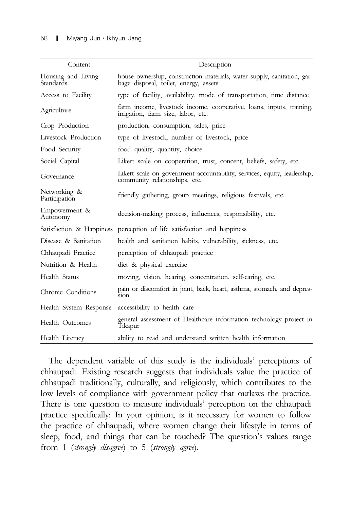| Content                         | Description                                                                                                      |
|---------------------------------|------------------------------------------------------------------------------------------------------------------|
| Housing and Living<br>Standards | house ownership, construction materials, water supply, sanitation, gar-<br>bage disposal, toilet, energy, assets |
| Access to Facility              | type of facility, availability, mode of transportation, time distance                                            |
| Agriculture                     | farm income, livestock income, cooperative, loans, inputs, training,<br>irrigation, farm size, labor, etc.       |
| Crop Production                 | production, consumption, sales, price                                                                            |
| Livestock Production            | type of livestock, number of livestock, price                                                                    |
| Food Security                   | food quality, quantity, choice                                                                                   |
| Social Capital                  | Likert scale on cooperation, trust, concent, beliefs, safety, etc.                                               |
| Governance                      | Likert scale on government accountability, services, equity, leadership,<br>community relationships, etc.        |
| Networking &<br>Participation   | friendly gathering, group meetings, religious festivals, etc.                                                    |
| Empowerment &<br>Autonomy       | decision-making process, influences, responsibility, etc.                                                        |
|                                 | Satisfaction & Happiness perception of life satisfaction and happiness                                           |
| Disease & Sanitation            | health and sanitation habits, vulnerability, sickness, etc.                                                      |
| Chhaupadi Practice              | perception of chhaupadi practice                                                                                 |
| Nutrition & Health              | diet & physical exercise                                                                                         |
| Health Status                   | moving, vision, hearing, concentration, self-caring, etc.                                                        |
| Chronic Conditions              | pain or discomfort in joint, back, heart, asthma, stomach, and depres-<br>sion                                   |
| Health System Response          | accessibility to health care                                                                                     |
| <b>Health Outcomes</b>          | general assessment of Healthcare information technology project in<br>Tikapur                                    |
| Health Literacy                 | ability to read and understand written health information                                                        |

The dependent variable of this study is the individuals' perceptions of chhaupadi. Existing research suggests that individuals value the practice of chhaupadi traditionally, culturally, and religiously, which contributes to the low levels of compliance with government policy that outlaws the practice. There is one question to measure individuals' perception on the chhaupadi practice specifically: In your opinion, is it necessary for women to follow the practice of chhaupadi, where women change their lifestyle in terms of sleep, food, and things that can be touched? The question's values range from 1 (strongly disagree) to 5 (strongly agree).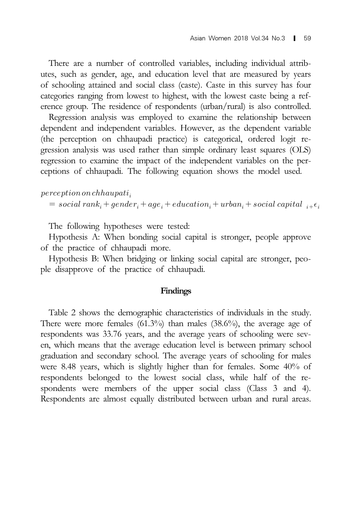There are a number of controlled variables, including individual attributes, such as gender, age, and education level that are measured by years of schooling attained and social class (caste). Caste in this survey has four categories ranging from lowest to highest, with the lowest caste being a reference group. The residence of respondents (urban/rural) is also controlled.

Regression analysis was employed to examine the relationship between dependent and independent variables. However, as the dependent variable (the perception on chhaupadi practice) is categorical, ordered logit regression analysis was used rather than simple ordinary least squares (OLS) regression to examine the impact of the independent variables on the perceptions of chhaupadi. The following equation shows the model used.

 $perception on chhaupti<sub>i</sub>$ 

 $= social\ rank_i + gender_i + age_i + education_i + urban_i + social\ capital_{i+\epsilon_i}$ 

The following hypotheses were tested:

Hypothesis A: When bonding social capital is stronger, people approve of the practice of chhaupadi more.

Hypothesis B: When bridging or linking social capital are stronger, people disapprove of the practice of chhaupadi.

### Findings

Table 2 shows the demographic characteristics of individuals in the study. There were more females  $(61.3\%)$  than males  $(38.6\%)$ , the average age of respondents was 33.76 years, and the average years of schooling were seven, which means that the average education level is between primary school graduation and secondary school. The average years of schooling for males were 8.48 years, which is slightly higher than for females. Some 40% of respondents belonged to the lowest social class, while half of the respondents were members of the upper social class (Class 3 and 4). Respondents are almost equally distributed between urban and rural areas.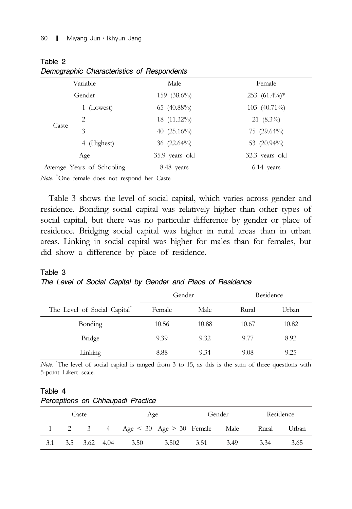Table 2

|       | Variable                   | Male           | Female            |
|-------|----------------------------|----------------|-------------------|
|       | Gender                     | 159 $(38.6\%)$ | $253$ $(61.4\%)*$ |
|       | 1 (Lowest)                 | 65 (40.88%)    | 103 $(40.71\%)$   |
|       | 2                          | 18 (11.32%)    | 21 $(8.3\%)$      |
| Caste | 3                          | 40 $(25.16\%)$ | 75 $(29.64\%)$    |
|       | 4 (Highest)                | 36 $(22.64\%)$ | 53 $(20.94\%)$    |
|       | Age                        | 35.9 years old | 32.3 years old    |
|       | Average Years of Schooling | 8.48 years     | 6.14 years        |

*Demographic Characteristics of Respondents*

Note. \*One female does not respond her Caste

Table 3 shows the level of social capital, which varies across gender and residence. Bonding social capital was relatively higher than other types of social capital, but there was no particular difference by gender or place of residence. Bridging social capital was higher in rural areas than in urban areas. Linking in social capital was higher for males than for females, but did show a difference by place of residence.

Table 3 *The Level of Social Capital by Gender and Place of Residence*

|                              | Gender |       |       | Residence |
|------------------------------|--------|-------|-------|-----------|
| The Level of Social Capital® | Female | Male  | Rural | Urban     |
| <b>Bonding</b>               | 10.56  | 10.88 | 10.67 | 10.82     |
| Bridge                       | 9.39   | 9.32  | 9.77  | 8.92      |
| Linking                      | 8.88   | 9.34  | 9.08  | 9.25      |

Note. \* The level of social capital is ranged from 3 to 15, as this is the sum of three questions with 5-point Likert scale.

| Table 4                           |  |  |
|-----------------------------------|--|--|
| Perceptions on Chhaupadi Practice |  |  |

| Caste<br>Age |  | Gender        |                                           | Residence |      |      |       |       |
|--------------|--|---------------|-------------------------------------------|-----------|------|------|-------|-------|
|              |  |               | 2 3 4 Age $\lt 30$ Age $> 30$ Female Male |           |      |      | Rural | Urban |
| 3.1          |  | 3.5 3.62 4.04 | 3.50                                      | 3.502     | 3.51 | 3.49 | 3.34  | 3.65  |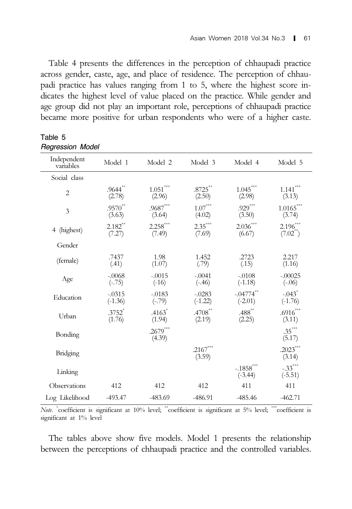Table 4 presents the differences in the perception of chhaupadi practice across gender, caste, age, and place of residence. The perception of chhaupadi practice has values ranging from 1 to 5, where the highest score indicates the highest level of value placed on the practice. While gender and age group did not play an important role, perceptions of chhaupadi practice became more positive for urban respondents who were of a higher caste.

| Independent<br>variables | Model 1               | Model 2                          | Model 3                  | Model 4                   | Model 5                           |
|--------------------------|-----------------------|----------------------------------|--------------------------|---------------------------|-----------------------------------|
| Social class             |                       |                                  |                          |                           |                                   |
| $\overline{2}$           | $.9644**$<br>(2.78)   | $1.051***$<br>(2.96)             | $.8725**$<br>(2.50)      | $1.045***$<br>(2.98)      | $1.141***$<br>(3.13)              |
| $\overline{3}$           | $.9570**$<br>(3.63)   | $.9687^{\ast\ast\ast}$<br>(3.64) | $1.07^{***}\,$<br>(4.02) | $.929***$<br>(3.50)       | $1.0165^{***}$<br>(3.74)          |
| (highest)<br>4           | $2.182**$<br>(7.27)   | $2.258***$<br>(7.49)             | $2.35***$<br>(7.69)      | $2.036***$<br>(6.67)      | $2.196^{***}$<br>(7.02)           |
| Gender                   |                       |                                  |                          |                           |                                   |
| (female)                 | .7437<br>(.41)        | 1.98<br>(1.07)                   | 1.452<br>(.79)           | .2723<br>(.15)            | 2.217<br>(1.16)                   |
| Age                      | $-.0068$<br>$(-.75)$  | $-.0015$<br>$(-16)$              | $-.0041$<br>$(-.46)$     | $-.0108$<br>$(-1.18)$     | $-.00025$<br>$(-.06)$             |
| Education                | $-.0315$<br>$(-1.36)$ | $-.0183$<br>$(-.79)$             | $-.0283$<br>$(-1.22)$    | $-.04774**$<br>$(-2.01)$  | $-.043$ <sup>*</sup><br>$(-1.76)$ |
| Urban                    | $.3752*$<br>(1.76)    | $.4163*$<br>(1.94)               | $.4708***$<br>(2.19)     | $.488**$<br>(2.25)        | $.6916***$<br>(3.11)              |
| Bonding                  |                       | $.2679***$<br>(4.39)             |                          |                           | $.35***$<br>(5.17)                |
| Bridging                 |                       |                                  | $.2167***$<br>(3.59)     |                           | $.2023***$<br>(3.14)              |
| Linking                  |                       |                                  |                          | $-.1858$ ***<br>$(-3.44)$ | $-.33***$<br>$(-5.51)$            |
| Observations             | 412                   | 412                              | 412                      | 411                       | 411                               |
| Log Likelihood           | $-493.47$             | $-483.69$                        | $-486.91$                | $-485.46$                 | $-462.71$                         |

Table 5 *Regression Model*

Note. \* coefficient is significant at 10% level; \*\*coefficient is significant at 5% level; \*\*\*coefficient is significant at 1% level

The tables above show five models. Model 1 presents the relationship between the perceptions of chhaupadi practice and the controlled variables.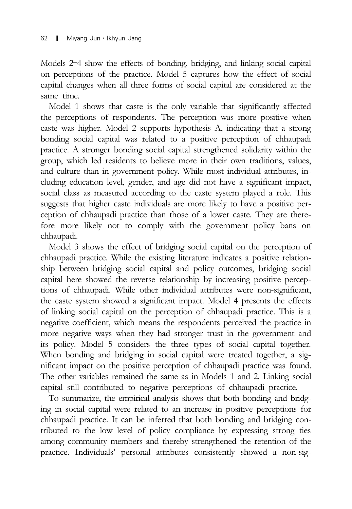$\begin{array}{ll}\n\text{62} & \text{I} & \text{Miyang Jun - Ikhyun Jang} \\
\text{Models 2–4 show the effects of bonding, bridging, and linking social capital}\n\end{array}$ on perceptions of the practice. Model 5 captures how the effect of social capital changes when all three forms of social capital are considered at the same time.

Model 1 shows that caste is the only variable that significantly affected the perceptions of respondents. The perception was more positive when caste was higher. Model 2 supports hypothesis A, indicating that a strong bonding social capital was related to a positive perception of chhaupadi practice. A stronger bonding social capital strengthened solidarity within the group, which led residents to believe more in their own traditions, values, and culture than in government policy. While most individual attributes, including education level, gender, and age did not have a significant impact, social class as measured according to the caste system played a role. This suggests that higher caste individuals are more likely to have a positive perception of chhaupadi practice than those of a lower caste. They are therefore more likely not to comply with the government policy bans on chhaupadi.

Model 3 shows the effect of bridging social capital on the perception of chhaupadi practice. While the existing literature indicates a positive relationship between bridging social capital and policy outcomes, bridging social capital here showed the reverse relationship by increasing positive perceptions of chhaupadi. While other individual attributes were non-significant, the caste system showed a significant impact. Model 4 presents the effects of linking social capital on the perception of chhaupadi practice. This is a negative coefficient, which means the respondents perceived the practice in more negative ways when they had stronger trust in the government and its policy. Model 5 considers the three types of social capital together. When bonding and bridging in social capital were treated together, a significant impact on the positive perception of chhaupadi practice was found. The other variables remained the same as in Models 1 and 2. Linking social capital still contributed to negative perceptions of chhaupadi practice.

To summarize, the empirical analysis shows that both bonding and bridging in social capital were related to an increase in positive perceptions for chhaupadi practice. It can be inferred that both bonding and bridging contributed to the low level of policy compliance by expressing strong ties among community members and thereby strengthened the retention of the practice. Individuals' personal attributes consistently showed a non-sig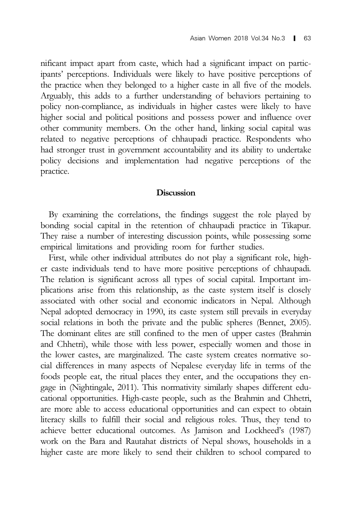nificant impact apart from caste, which had a significant impact on participants' perceptions. Individuals were likely to have positive perceptions of the practice when they belonged to a higher caste in all five of the models. Arguably, this adds to a further understanding of behaviors pertaining to policy non-compliance, as individuals in higher castes were likely to have higher social and political positions and possess power and influence over other community members. On the other hand, linking social capital was related to negative perceptions of chhaupadi practice. Respondents who had stronger trust in government accountability and its ability to undertake policy decisions and implementation had negative perceptions of the practice.

# **Discussion**

By examining the correlations, the findings suggest the role played by bonding social capital in the retention of chhaupadi practice in Tikapur. They raise a number of interesting discussion points, while possessing some empirical limitations and providing room for further studies.

First, while other individual attributes do not play a significant role, higher caste individuals tend to have more positive perceptions of chhaupadi. The relation is significant across all types of social capital. Important implications arise from this relationship, as the caste system itself is closely associated with other social and economic indicators in Nepal. Although Nepal adopted democracy in 1990, its caste system still prevails in everyday social relations in both the private and the public spheres (Bennet, 2005). The dominant elites are still confined to the men of upper castes (Brahmin and Chhetri), while those with less power, especially women and those in the lower castes, are marginalized. The caste system creates normative social differences in many aspects of Nepalese everyday life in terms of the foods people eat, the ritual places they enter, and the occupations they engage in (Nightingale, 2011). This normativity similarly shapes different educational opportunities. High-caste people, such as the Brahmin and Chhetri, are more able to access educational opportunities and can expect to obtain literacy skills to fulfill their social and religious roles. Thus, they tend to achieve better educational outcomes. As Jamison and Lockheed's (1987) work on the Bara and Rautahat districts of Nepal shows, households in a higher caste are more likely to send their children to school compared to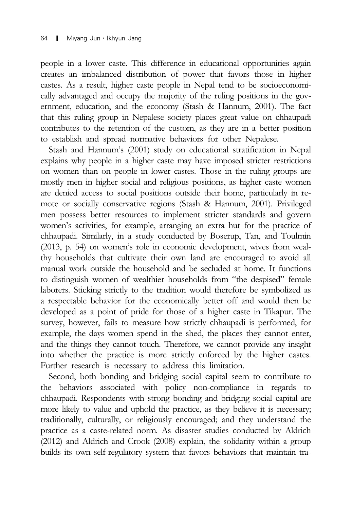people in a lower caste. This difference in educational opportunities again creates an imbalanced distribution of power that favors those in higher castes. As a result, higher caste people in Nepal tend to be socioeconomically advantaged and occupy the majority of the ruling positions in the government, education, and the economy (Stash & Hannum, 2001). The fact that this ruling group in Nepalese society places great value on chhaupadi contributes to the retention of the custom, as they are in a better position to establish and spread normative behaviors for other Nepalese.

Stash and Hannum's (2001) study on educational stratification in Nepal explains why people in a higher caste may have imposed stricter restrictions on women than on people in lower castes. Those in the ruling groups are mostly men in higher social and religious positions, as higher caste women are denied access to social positions outside their home, particularly in remote or socially conservative regions (Stash & Hannum, 2001). Privileged men possess better resources to implement stricter standards and govern women's activities, for example, arranging an extra hut for the practice of chhaupadi. Similarly, in a study conducted by Boserup, Tan, and Toulmin (2013, p. 54) on women's role in economic development, wives from wealthy households that cultivate their own land are encouraged to avoid all manual work outside the household and be secluded at home. It functions to distinguish women of wealthier households from "the despised" female laborers. Sticking strictly to the tradition would therefore be symbolized as a respectable behavior for the economically better off and would then be developed as a point of pride for those of a higher caste in Tikapur. The survey, however, fails to measure how strictly chhaupadi is performed, for example, the days women spend in the shed, the places they cannot enter, and the things they cannot touch. Therefore, we cannot provide any insight into whether the practice is more strictly enforced by the higher castes. Further research is necessary to address this limitation.

Second, both bonding and bridging social capital seem to contribute to the behaviors associated with policy non-compliance in regards to chhaupadi. Respondents with strong bonding and bridging social capital are more likely to value and uphold the practice, as they believe it is necessary; traditionally, culturally, or religiously encouraged; and they understand the practice as a caste-related norm. As disaster studies conducted by Aldrich (2012) and Aldrich and Crook (2008) explain, the solidarity within a group builds its own self-regulatory system that favors behaviors that maintain tra-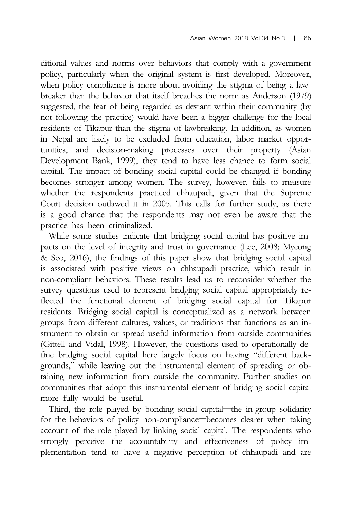ditional values and norms over behaviors that comply with a government policy, particularly when the original system is first developed. Moreover, when policy compliance is more about avoiding the stigma of being a lawbreaker than the behavior that itself breaches the norm as Anderson (1979) suggested, the fear of being regarded as deviant within their community (by not following the practice) would have been a bigger challenge for the local residents of Tikapur than the stigma of lawbreaking. In addition, as women in Nepal are likely to be excluded from education, labor market opportunities, and decision-making processes over their property (Asian Development Bank, 1999), they tend to have less chance to form social capital. The impact of bonding social capital could be changed if bonding becomes stronger among women. The survey, however, fails to measure whether the respondents practiced chhaupadi, given that the Supreme Court decision outlawed it in 2005. This calls for further study, as there is a good chance that the respondents may not even be aware that the practice has been criminalized.

While some studies indicate that bridging social capital has positive impacts on the level of integrity and trust in governance (Lee, 2008; Myeong & Seo, 2016), the findings of this paper show that bridging social capital is associated with positive views on chhaupadi practice, which result in non-compliant behaviors. These results lead us to reconsider whether the survey questions used to represent bridging social capital appropriately reflected the functional element of bridging social capital for Tikapur residents. Bridging social capital is conceptualized as a network between groups from different cultures, values, or traditions that functions as an instrument to obtain or spread useful information from outside communities (Gittell and Vidal, 1998). However, the questions used to operationally define bridging social capital here largely focus on having "different backgrounds," while leaving out the instrumental element of spreading or obtaining new information from outside the community. Further studies on communities that adopt this instrumental element of bridging social capital more fully would be useful. The runnent to obtain or spread useful information from outside communities<br>
Sittell and Vidal, 1998). However, the questions used to operationally de-<br>
be bridging social capital here largely focus on having "different ba (Gittell and Vidal, 1998). However, the questions used to operationally define bridging social capital here largely focus on having "different backgrounds," while leaving out the instrumental element of spreading or obtain

account of the role played by linking social capital. The respondents who strongly perceive the accountability and effectiveness of policy implementation tend to have a negative perception of chhaupadi and are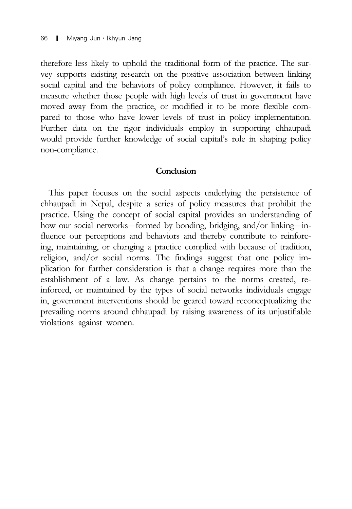therefore less likely to uphold the traditional form of the practice. The survey supports existing research on the positive association between linking social capital and the behaviors of policy compliance. However, it fails to measure whether those people with high levels of trust in government have moved away from the practice, or modified it to be more flexible compared to those who have lower levels of trust in policy implementation. Further data on the rigor individuals employ in supporting chhaupadi would provide further knowledge of social capital's role in shaping policy non-compliance.

# **Conclusion**

This paper focuses on the social aspects underlying the persistence of chhaupadi in Nepal, despite a series of policy measures that prohibit the practice. Using the concept of social capital provides an understanding of Conclusion<br>
This paper focuses on the social aspects underlying the persistence of<br>
chhaupadi in Nepal, despite a series of policy measures that prohibit the<br>
practice. Using the concept of social capital provides an under fluence our perceptions and behaviors and thereby contribute to reinforcing, maintaining, or changing a practice complied with because of tradition, religion, and/or social norms. The findings suggest that one policy implication for further consideration is that a change requires more than the establishment of a law. As change pertains to the norms created, reinforced, or maintained by the types of social networks individuals engage in, government interventions should be geared toward reconceptualizing the prevailing norms around chhaupadi by raising awareness of its unjustifiable violations against women.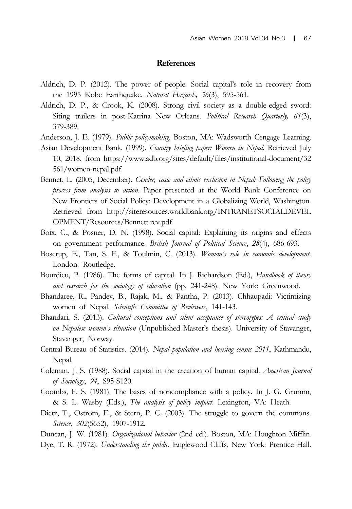### References

- Aldrich, D. P. (2012). The power of people: Social capital's role in recovery from the 1995 Kobe Earthquake. Natural Hazards, 56(3), 595-561.
- Aldrich, D. P., & Crook, K. (2008). Strong civil society as a double-edged sword: Siting trailers in post-Katrina New Orleans. Political Research Quarterly, 61(3), 379-389.
- Anderson, J. E. (1979). Public policymaking. Boston, MA: Wadsworth Cengage Learning.
- Asian Development Bank. (1999). Country briefing paper: Women in Nepal. Retrieved July 10, 2018, from https://www.adb.org/sites/default/files/institutional-document/32 561/women-nepal.pdf
- Bennet, L. (2005, December). Gender, caste and ethnic exclusion in Nepal: Following the policy process from analysis to action. Paper presented at the World Bank Conference on New Frontiers of Social Policy: Development in a Globalizing World, Washington. Retrieved from http://siteresources.worldbank.org/INTRANETSOCIALDEVEL OPMENT/Resources/Bennett.rev.pdf
- Boix, C., & Posner, D. N. (1998). Social capital: Explaining its origins and effects on government performance. British Journal of Political Science, 28(4), 686-693.
- Boserup, E., Tan, S. F., & Toulmin, C. (2013). Woman's role in economic development. London: Routledge.
- Bourdieu, P. (1986). The forms of capital. In J. Richardson (Ed.), Handbook of theory and research for the sociology of education (pp. 241-248). New York: Greenwood.
- Bhandaree, R., Pandey, B., Rajak, M., & Pantha, P. (2013). Chhaupadi: Victimizing women of Nepal. Scientific Committee of Reviewers, 141-143.
- Bhandari, S. (2013). Cultural conceptions and silent acceptance of stereotypes: A critical study on Nepalese women's situation (Unpublished Master's thesis). University of Stavanger, Stavanger, Norway.
- Central Bureau of Statistics. (2014). Nepal population and housing census 2011, Kathmandu, Nepal.
- Coleman, J. S. (1988). Social capital in the creation of human capital. American Journal of Sociology, 94, S95-S120.
- Coombs, F. S. (1981). The bases of noncompliance with a policy. In J. G. Grumm, & S. L. Wasby (Eds.), The analysis of policy impact. Lexington, VA: Heath.
- Dietz, T., Ostrom, E., & Stern, P. C. (2003). The struggle to govern the commons. Science, 302(5652), 1907-1912.
- Duncan, J. W. (1981). Organizational behavior (2nd ed.). Boston, MA: Houghton Mifflin.
- Dye, T. R. (1972). Understanding the public. Englewood Cliffs, New York: Prentice Hall.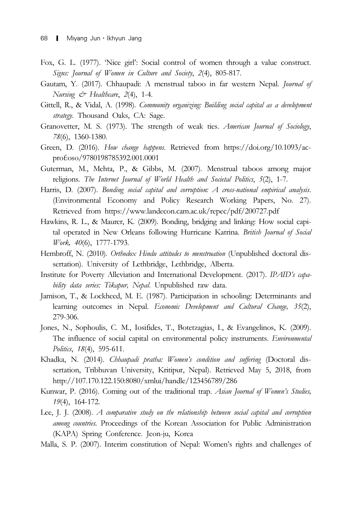- Fox, G. L. (1977). 'Nice girl': Social control of women through a value construct. Signs: Journal of Women in Culture and Society, 2(4), 805-817.
- Gautam, Y. (2017). Chhaupadi: A menstrual taboo in far western Nepal. Journal of Nursing & Healthcare, 2(4), 1-4.
- Gittell, R., & Vidal, A. (1998). Community organizing: Building social capital as a development strategy. Thousand Oaks, CA: Sage.
- Granovetter, M. S. (1973). The strength of weak ties. American Journal of Sociology, 78(6), 1360-1380.
- Green, D. (2016). How change happens. Retrieved from https://doi.org/10.1093/acprof:oso/9780198785392.001.0001
- Guterman, M., Mehta, P., & Gibbs, M. (2007). Menstrual taboos among major religions. The Internet Journal of World Health and Societal Politics, 5(2), 1-7.
- Harris, D. (2007). Bonding social capital and corruption: A cross-national empirical analysis. (Environmental Economy and Policy Research Working Papers, No. 27). Retrieved from https://www.landecon.cam.ac.uk/repec/pdf/200727.pdf
- Hawkins, R. L., & Maurer, K. (2009). Bonding, bridging and linking: How social capital operated in New Orleans following Hurricane Katrina. British Journal of Social Work, 40(6), 1777-1793.
- Hembroff, N. (2010). Orthodox Hindu attitudes to menstruation (Unpublished doctoral dissertation). University of Lethbridge, Lethbridge, Alberta.
- Institute for Poverty Alleviation and International Development. (2017). IPAID's capability data series: Tikapur, Nepal. Unpublished raw data.
- Jamison, T., & Lockheed, M. E. (1987). Participation in schooling: Determinants and learning outcomes in Nepal. Economic Development and Cultural Change, 35(2), 279-306.
- Jones, N., Sophoulis, C. M., Iosifides, T., Botetzagias, I., & Evangelinos, K. (2009). The influence of social capital on environmental policy instruments. *Environmental* Politics, 18(4), 595-611.
- Khadka, N. (2014). Chhaupadi pratha: Women's condition and suffering (Doctoral dissertation, Tribhuvan University, Kritipur, Nepal). Retrieved May 5, 2018, from http://107.170.122.150:8080/xmlui/handle/123456789/286
- Kunwar, P. (2016). Coming out of the traditional trap. Asian Journal of Women's Studies, 19(4), 164-172.
- Lee, J. J. (2008). A comparative study on the relationship between social capital and corruption among countries. Proceedings of the Korean Association for Public Administration (KAPA) Spring Conference. Jeon-ju, Korea
- Malla, S. P. (2007). Interim constitution of Nepal: Women's rights and challenges of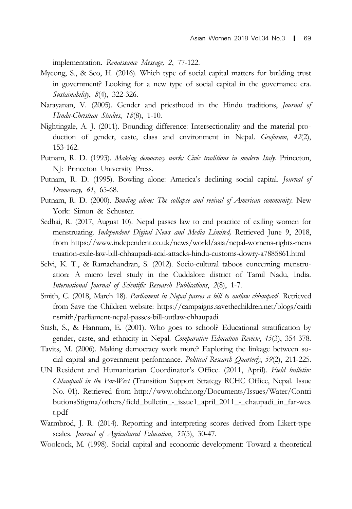implementation. Renaissance Message, 2, 77-122.

- Myeong, S., & Seo, H. (2016). Which type of social capital matters for building trust in government? Looking for a new type of social capital in the governance era. Sustainability, 8(4), 322-326.
- Narayanan, V. (2005). Gender and priesthood in the Hindu traditions, Journal of Hindu-Christian Studies, 18(8), 1-10.
- Nightingale, A. J. (2011). Bounding difference: Intersectionality and the material production of gender, caste, class and environment in Nepal. Geoforum, 42(2), 153-162.
- Putnam, R. D. (1993). Making democracy work: Civic traditions in modern Italy. Princeton, NJ: Princeton University Press.
- Putnam, R. D. (1995). Bowling alone: America's declining social capital. Journal of Democracy, 61, 65-68.
- Putnam, R. D. (2000). Bowling alone: The collapse and revival of American community. New York: Simon & Schuster.
- Sedhai, R. (2017, August 10). Nepal passes law to end practice of exiling women for menstruating. Independent Digital News and Media Limited, Retrieved June 9, 2018, from https://www.independent.co.uk/news/world/asia/nepal-womens-rights-mens truation-exile-law-bill-chhaupadi-acid-attacks-hindu-customs-dowry-a7885861.html
- Selvi, K. T., & Ramachandran, S. (2012). Socio-cultural taboos concerning menstruation: A micro level study in the Cuddalore district of Tamil Nadu, India. International Journal of Scientific Research Publications, 2(8), 1-7.
- Smith, C. (2018, March 18). Parliament in Nepal passes a bill to outlaw chhaupadi. Retrieved from Save the Children website: https://campaigns.savethechildren.net/blogs/caitli nsmith/parliament-nepal-passes-bill-outlaw-chhaupadi
- Stash, S., & Hannum, E. (2001). Who goes to school? Educational stratification by gender, caste, and ethnicity in Nepal. Comparative Education Review, 45(3), 354-378.
- Tavits, M. (2006). Making democracy work more? Exploring the linkage between social capital and government performance. Political Research Quarterly, 59(2), 211-225.
- UN Resident and Humanitarian Coordinator's Office. (2011, April). Field bulletin: Chhaupadi in the Far-West (Transition Support Strategy RCHC Office, Nepal. Issue No. 01). Retrieved from http://www.ohchr.org/Documents/Issues/Water/Contri butionsStigma/others/field\_bulletin\_-\_issue1\_april\_2011\_-\_chaupadi\_in\_far-wes t.pdf
- Warmbrod, J. R. (2014). Reporting and interpreting scores derived from Likert-type scales. Journal of Agricultural Education, 55(5), 30-47.
- Woolcock, M. (1998). Social capital and economic development: Toward a theoretical